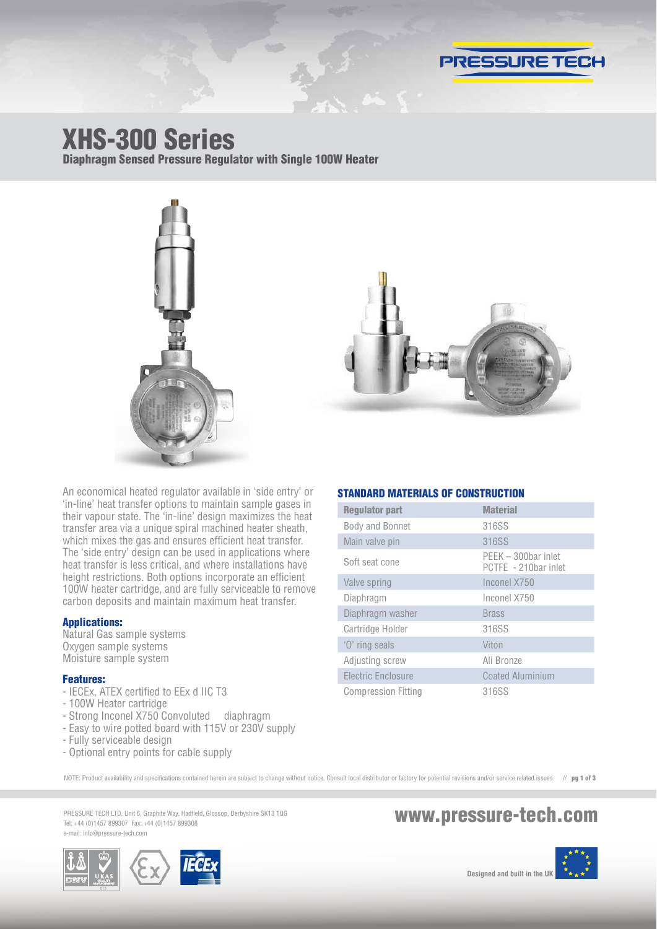

# XHS-300 Series

Diaphragm Sensed Pressure Regulator with Single 100W Heater





An economical heated regulator available in 'side entry' or 'in-line' heat transfer options to maintain sample gases in their vapour state. The 'in-line' design maximizes the heat transfer area via a unique spiral machined heater sheath, which mixes the gas and ensures efficient heat transfer. The 'side entry' design can be used in applications where heat transfer is less critical, and where installations have height restrictions. Both options incorporate an efficient 100W heater cartridge, and are fully serviceable to remove carbon deposits and maintain maximum heat transfer.

### Applications:

Natural Gas sample systems Oxygen sample systems Moisture sample system

### Features:

- IECEx, ATEX certified to EEx d IIC T3
- 100W Heater cartridge
- Strong Inconel X750 Convoluted diaphragm
- Easy to wire potted board with 115V or 230V supply
- Fully serviceable design
- Optional entry points for cable supply

### STANDARD MATERIALS OF CONSTRUCTION

| <b>Regulator part</b>      | <b>Material</b>                             |
|----------------------------|---------------------------------------------|
| Body and Bonnet            | 316SS                                       |
| Main valve pin             | 316SS                                       |
| Soft seat cone             | PEEK - 300bar inlet<br>PCTFE - 210bar inlet |
| Valve spring               | Inconel X750                                |
| Diaphragm                  | Inconel X750                                |
| Diaphragm washer           | <b>Brass</b>                                |
| Cartridge Holder           | 316SS                                       |
| 'O' ring seals             | Viton                                       |
| Adjusting screw            | Ali Bronze                                  |
| Electric Enclosure         | <b>Coated Aluminium</b>                     |
| <b>Compression Fitting</b> | 316SS                                       |

NOTE: Product availability and specifications contained herein are subject to change without notice. Consult local distributor or factory for potential revisions and/or service related issues. // pg 1 of 3

PRESSURE TECH LTD, Unit 6, Graphite Way, Hadfield, Glossop, Derbyshire SK13 1QG PRESSURE TECH LTD, Unit 6, Graphite Way, Hadfield, Glossop, Derbyshire SK13 1QG<br>Tel: +44 (0)1457 899307 Fax: +44 (0)1457 899308 e-mail: info@pressure-tech.com

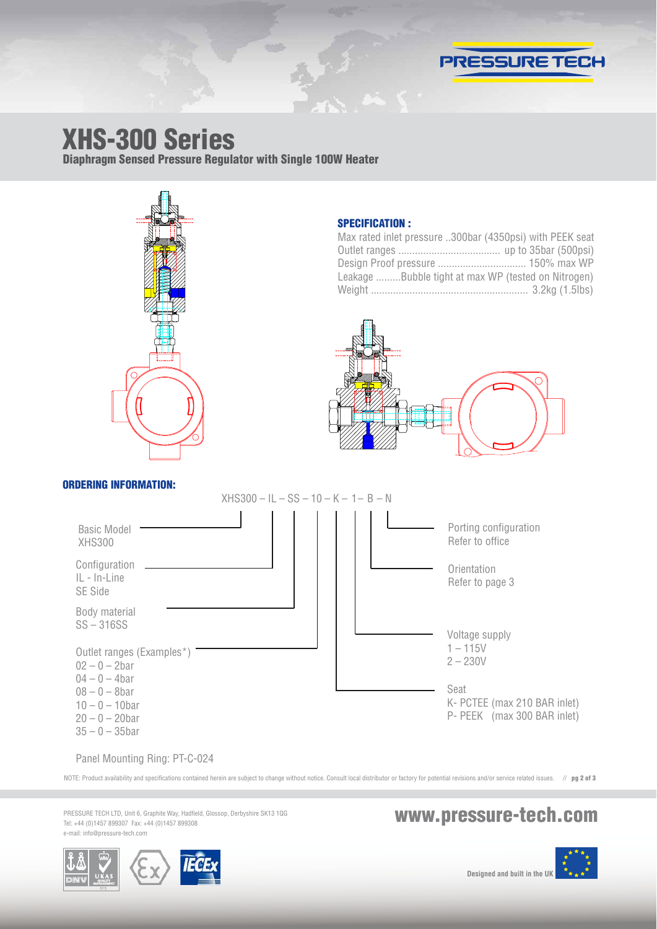

## XHS-300 Series

Diaphragm Sensed Pressure Regulator with Single 100W Heater



ORDERING INFORMATION:

### SPECIFICATION :

| Max rated inlet pressure 300bar (4350psi) with PEEK seat |  |
|----------------------------------------------------------|--|
|                                                          |  |
| Design Proof pressure  150% max WP                       |  |
| Leakage Bubble tight at max WP (tested on Nitrogen)      |  |
|                                                          |  |



#### $XHS300 - IL - SS - 10 - K - 1 - B - N$ Basic Model XHS300 Porting configuration Refer to office Configuration IL - In-Line SE Side **Orientation** Refer to page 3 Voltage supply  $1 - 115V$ 2 – 230V Seat K- PCTEE (max 210 BAR inlet) P- PEEK (max 300 BAR inlet) Body material SS – 316SS Outlet ranges (Examples\*)  $02 - 0 - 2$ bar  $04 - 0 - 4$ bar  $08 - 0 - 8$ bar  $10 - 0 - 10$ bar  $20 - 0 - 20$ bar  $35 - 0 - 35$ bar

Panel Mounting Ring: PT-C-024

NOTE: Product availability and specifications contained herein are subject to change without notice. Consult local distributor or factory for potential revisions and/or service related issues. // pg 2 of 3

PRESSURE TECH LTD, Unit 6, Graphite Way, Hadfield, Glossop, Derbyshire SK13 1QG e-mail: info@pressure-tech.com

## PRESSURE TECH LTD, Unit 6, Graphite Way, Hadfield, Glossop, Derbyshire SK13 1QG<br>Tel: +44 (0)1457 899307 Fax: +44 (0)1457 899308